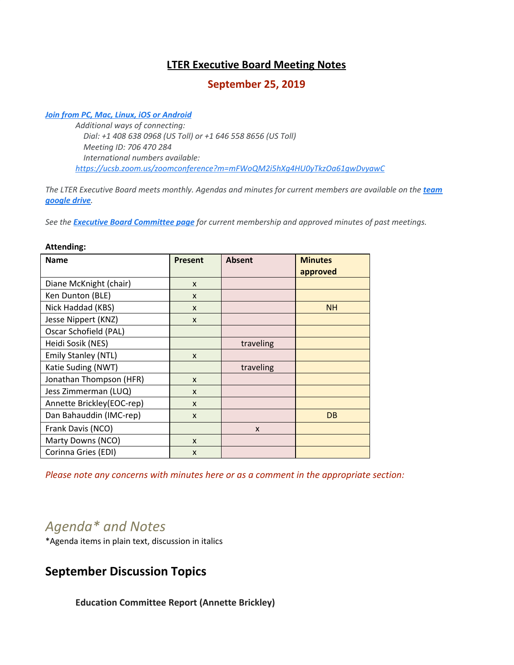# **LTER Executive Board Meeting Notes**

## **September 25, 2019**

#### *[Join from PC, Mac, Linux, iOS or Android](https://ucsb.zoom.us/j/706470284)*

**Attending:**

*Additional ways of connecting: Dial: +1 408 638 0968 (US Toll) or +1 646 558 8656 (US Toll) Meeting ID: 706 470 284 International numbers available: <https://ucsb.zoom.us/zoomconference?m=mFWoQM2i5hXg4HU0yTkzOa61gwDvyawC>*

*The LTER Executive Board meets monthly. Agendas and minutes for current members are available on the [team](https://drive.google.com/drive/folders/0AKaWwJjxt2VMUk9PVA) [google drive](https://drive.google.com/drive/folders/0AKaWwJjxt2VMUk9PVA).*

*See the [Executive Board Committee page](https://lternet.edu/committees/executive-board/) for current membership and approved minutes of past meetings.*

| <b>Name</b>               | <b>Present</b> | <b>Absent</b> | <b>Minutes</b> |
|---------------------------|----------------|---------------|----------------|
|                           |                |               | approved       |
| Diane McKnight (chair)    | $\mathsf{x}$   |               |                |
| Ken Dunton (BLE)          | X              |               |                |
| Nick Haddad (KBS)         | X              |               | <b>NH</b>      |
| Jesse Nippert (KNZ)       | X              |               |                |
| Oscar Schofield (PAL)     |                |               |                |
| Heidi Sosik (NES)         |                | traveling     |                |
| Emily Stanley (NTL)       | $\mathsf{x}$   |               |                |
| Katie Suding (NWT)        |                | traveling     |                |
| Jonathan Thompson (HFR)   | X              |               |                |
| Jess Zimmerman (LUQ)      | X              |               |                |
| Annette Brickley(EOC-rep) | $\mathsf{x}$   |               |                |
| Dan Bahauddin (IMC-rep)   | X              |               | <b>DB</b>      |
| Frank Davis (NCO)         |                | $\mathsf{x}$  |                |
| Marty Downs (NCO)         | X              |               |                |
| Corinna Gries (EDI)       | X              |               |                |

#### *Please note any concerns with minutes here or as a comment in the appropriate section:*

# *Agenda\* and Notes*

\*Agenda items in plain text, discussion in italics

# **September Discussion Topics**

**Education Committee Report (Annette Brickley)**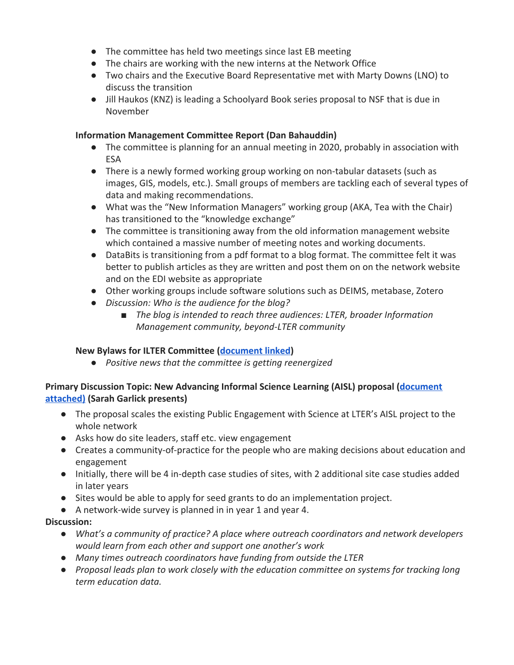- The committee has held two meetings since last EB meeting
- The chairs are working with the new interns at the Network Office
- Two chairs and the Executive Board Representative met with Marty Downs (LNO) to discuss the transition
- Jill Haukos (KNZ) is leading a Schoolyard Book series proposal to NSF that is due in November

### **Information Management Committee Report (Dan Bahauddin)**

- The committee is planning for an annual meeting in 2020, probably in association with ESA
- There is a newly formed working group working on non-tabular datasets (such as images, GIS, models, etc.). Small groups of members are tackling each of several types of data and making recommendations.
- What was the "New Information Managers" working group (AKA, Tea with the Chair) has transitioned to the "knowledge exchange"
- The committee is transitioning away from the old information management website which contained a massive number of meeting notes and working documents.
- DataBits is transitioning from a pdf format to a blog format. The committee felt it was better to publish articles as they are written and post them on on the network website and on the EDI website as appropriate
- Other working groups include software solutions such as DEIMS, metabase, Zotero
- *● Discussion: Who is the audience for the blog?*
	- *■ The blog is intended to reach three audiences: LTER, broader Information Management community, beyond-LTER community*

# **New Bylaws for ILTER Committee [\(document linked](https://docs.google.com/document/d/19sn7AwqSfjiLCVY84m1Xtt89emM_LK3IIvGCYQmEEuQ/edit))**

*● Positive news that the committee is getting reenergized*

## **Primary Discussion Topic: New Advancing Informal Science Learning (AISL) proposal ([document](https://docs.google.com/document/d/1dxWdpXsR5nW1-Arn2bdXOSIeQryFEnjFWxG1dj6R72o/edit) [attached\)](https://docs.google.com/document/d/1dxWdpXsR5nW1-Arn2bdXOSIeQryFEnjFWxG1dj6R72o/edit) (Sarah Garlick presents)**

- The proposal scales the existing Public Engagement with Science at LTER's AISL project to the whole network
- Asks how do site leaders, staff etc. view engagement
- Creates a community-of-practice for the people who are making decisions about education and engagement
- Initially, there will be 4 in-depth case studies of sites, with 2 additional site case studies added in later years
- Sites would be able to apply for seed grants to do an implementation project.
- A network-wide survey is planned in in year 1 and year 4.

# **Discussion:**

- *● What's a community of practice? A place where outreach coordinators and network developers would learn from each other and support one another's work*
- *● Many times outreach coordinators have funding from outside the LTER*
- *● Proposal leads plan to work closely with the education committee on systems for tracking long term education data.*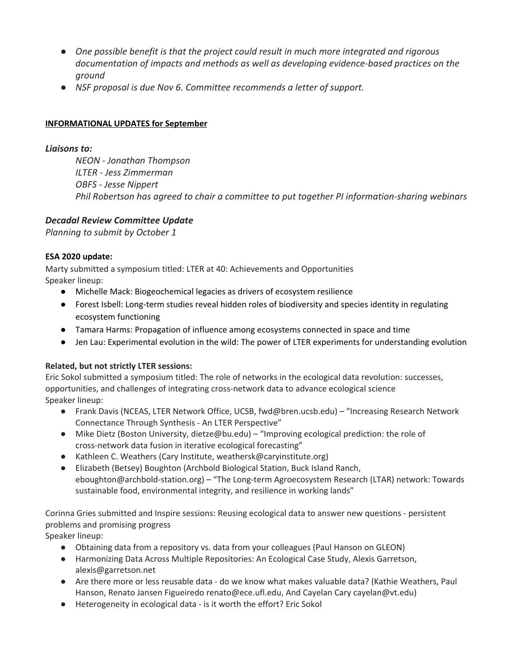- *● One possible benefit is that the project could result in much more integrated and rigorous documentation of impacts and methods as well as developing evidence-based practices on the ground*
- *● NSF proposal is due Nov 6. Committee recommends a letter of support.*

#### **INFORMATIONAL UPDATES for September**

#### *Liaisons to:*

*NEON - Jonathan Thompson ILTER - Jess Zimmerman OBFS - Jesse Nippert Phil Robertson has agreed to chair a committee to put together PI information-sharing webinars*

#### *Decadal Review Committee Update*

*Planning to submit by October 1*

#### **ESA 2020 update:**

Marty submitted a symposium titled: LTER at 40: Achievements and Opportunities Speaker lineup:

- Michelle Mack: Biogeochemical legacies as drivers of ecosystem resilience
- Forest Isbell: Long-term studies reveal hidden roles of biodiversity and species identity in regulating ecosystem functioning
- Tamara Harms: Propagation of influence among ecosystems connected in space and time
- Jen Lau: Experimental evolution in the wild: The power of LTER experiments for understanding evolution

### **Related, but not strictly LTER sessions:**

Eric Sokol submitted a symposium titled: The role of networks in the ecological data revolution: successes, opportunities, and challenges of integrating cross-network data to advance ecological science Speaker lineup:

- Frank Davis (NCEAS, LTER Network Office, UCSB, fwd@bren.ucsb.edu) "Increasing Research Network Connectance Through Synthesis - An LTER Perspective"
- Mike Dietz (Boston University, dietze@bu.edu) "Improving ecological prediction: the role of cross-network data fusion in iterative ecological forecasting"
- Kathleen C. Weathers (Cary Institute, weathersk@caryinstitute.org)
- Elizabeth (Betsey) Boughton (Archbold Biological Station, Buck Island Ranch, eboughton@archbold-station.org) – "The Long-term Agroecosystem Research (LTAR) network: Towards sustainable food, environmental integrity, and resilience in working lands"

Corinna Gries submitted and Inspire sessions: Reusing ecological data to answer new questions - persistent problems and promising progress

Speaker lineup:

- Obtaining data from a repository vs. data from your colleagues (Paul Hanson on GLEON)
- Harmonizing Data Across Multiple Repositories: An Ecological Case Study, Alexis Garretson, alexis@garretson.net
- Are there more or less reusable data do we know what makes valuable data? (Kathie Weathers, Paul Hanson, Renato Jansen Figueiredo renato@ece.ufl.edu, And Cayelan Cary cayelan@vt.edu)
- Heterogeneity in ecological data is it worth the effort? Eric Sokol